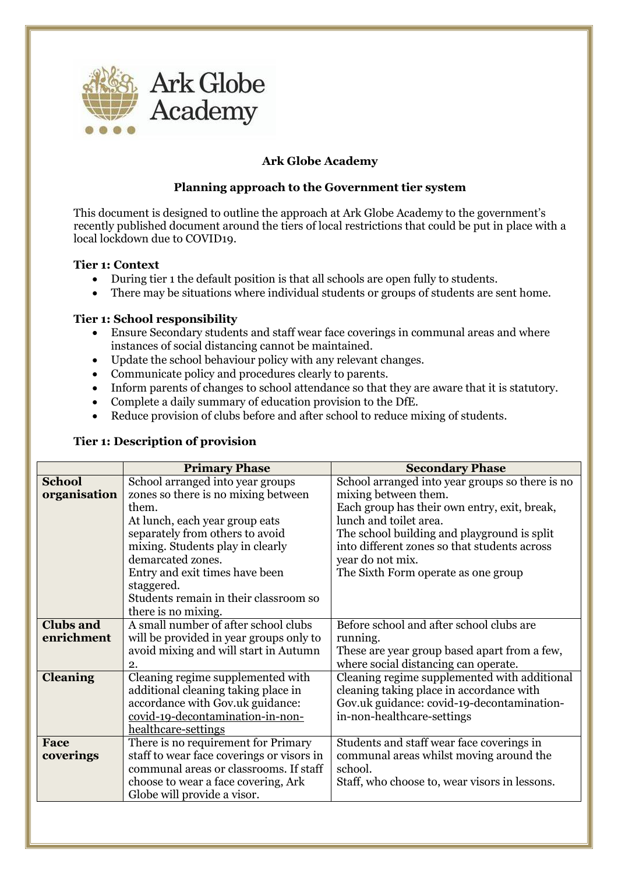

## **Ark Globe Academy**

## **Planning approach to the Government tier system**

This document is designed to outline the approach at Ark Globe Academy to the government's recently published document around the tiers of local restrictions that could be put in place with a local lockdown due to COVID19.

#### **Tier 1: Context**

- During tier 1 the default position is that all schools are open fully to students.
- There may be situations where individual students or groups of students are sent home.

#### **Tier 1: School responsibility**

- Ensure Secondary students and staff wear face coverings in communal areas and where instances of social distancing cannot be maintained.
- Update the school behaviour policy with any relevant changes.
- Communicate policy and procedures clearly to parents.
- Inform parents of changes to school attendance so that they are aware that it is statutory.
- Complete a daily summary of education provision to the DfE.
- Reduce provision of clubs before and after school to reduce mixing of students.

#### **Tier 1: Description of provision**

|                  | <b>Primary Phase</b>                      | <b>Secondary Phase</b>                          |
|------------------|-------------------------------------------|-------------------------------------------------|
| <b>School</b>    | School arranged into year groups          | School arranged into year groups so there is no |
| organisation     | zones so there is no mixing between       | mixing between them.                            |
|                  | them.                                     | Each group has their own entry, exit, break,    |
|                  | At lunch, each year group eats            | lunch and toilet area.                          |
|                  | separately from others to avoid           | The school building and playground is split     |
|                  | mixing. Students play in clearly          | into different zones so that students across    |
|                  | demarcated zones.                         | year do not mix.                                |
|                  | Entry and exit times have been            | The Sixth Form operate as one group             |
|                  | staggered.                                |                                                 |
|                  | Students remain in their classroom so     |                                                 |
|                  | there is no mixing.                       |                                                 |
| <b>Clubs and</b> | A small number of after school clubs      | Before school and after school clubs are        |
| enrichment       | will be provided in year groups only to   | running.                                        |
|                  | avoid mixing and will start in Autumn     | These are year group based apart from a few,    |
|                  | 2.                                        | where social distancing can operate.            |
| <b>Cleaning</b>  | Cleaning regime supplemented with         | Cleaning regime supplemented with additional    |
|                  | additional cleaning taking place in       | cleaning taking place in accordance with        |
|                  | accordance with Gov.uk guidance:          | Gov.uk guidance: covid-19-decontamination-      |
|                  | covid-19-decontamination-in-non-          | in-non-healthcare-settings                      |
|                  | healthcare-settings                       |                                                 |
| Face             | There is no requirement for Primary       | Students and staff wear face coverings in       |
| coverings        | staff to wear face coverings or visors in | communal areas whilst moving around the         |
|                  | communal areas or classrooms. If staff    | school.                                         |
|                  | choose to wear a face covering, Ark       | Staff, who choose to, wear visors in lessons.   |
|                  | Globe will provide a visor.               |                                                 |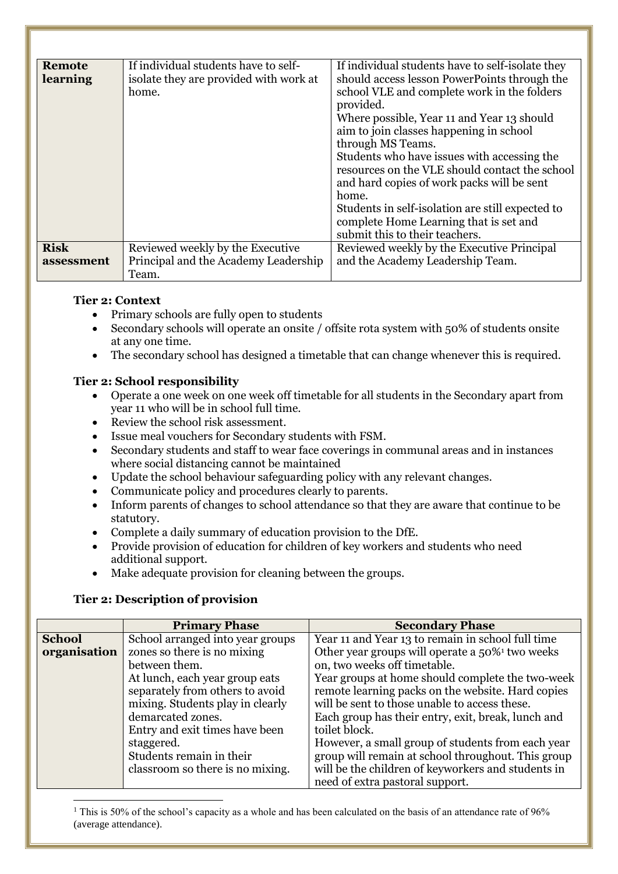| <b>Remote</b><br>learning | If individual students have to self-<br>isolate they are provided with work at<br>home. | If individual students have to self-isolate they<br>should access lesson PowerPoints through the<br>school VLE and complete work in the folders<br>provided.<br>Where possible, Year 11 and Year 13 should<br>aim to join classes happening in school<br>through MS Teams.<br>Students who have issues with accessing the<br>resources on the VLE should contact the school<br>and hard copies of work packs will be sent<br>home.<br>Students in self-isolation are still expected to<br>complete Home Learning that is set and<br>submit this to their teachers. |
|---------------------------|-----------------------------------------------------------------------------------------|--------------------------------------------------------------------------------------------------------------------------------------------------------------------------------------------------------------------------------------------------------------------------------------------------------------------------------------------------------------------------------------------------------------------------------------------------------------------------------------------------------------------------------------------------------------------|
| <b>Risk</b><br>assessment | Reviewed weekly by the Executive<br>Principal and the Academy Leadership                | Reviewed weekly by the Executive Principal<br>and the Academy Leadership Team.                                                                                                                                                                                                                                                                                                                                                                                                                                                                                     |
|                           | Team.                                                                                   |                                                                                                                                                                                                                                                                                                                                                                                                                                                                                                                                                                    |

#### **Tier 2: Context**

- Primary schools are fully open to students
- Secondary schools will operate an onsite / offsite rota system with 50% of students onsite at any one time.
- The secondary school has designed a timetable that can change whenever this is required.

## **Tier 2: School responsibility**

- Operate a one week on one week off timetable for all students in the Secondary apart from year 11 who will be in school full time.
- Review the school risk assessment.
- Issue meal vouchers for Secondary students with FSM.
- Secondary students and staff to wear face coverings in communal areas and in instances where social distancing cannot be maintained
- Update the school behaviour safeguarding policy with any relevant changes.
- Communicate policy and procedures clearly to parents.
- Inform parents of changes to school attendance so that they are aware that continue to be statutory.
- Complete a daily summary of education provision to the DfE.
- Provide provision of education for children of key workers and students who need additional support.
- Make adequate provision for cleaning between the groups.

## **Tier 2: Description of provision**

 $\overline{a}$ 

|               | <b>Primary Phase</b>             | <b>Secondary Phase</b>                                      |
|---------------|----------------------------------|-------------------------------------------------------------|
| <b>School</b> | School arranged into year groups | Year 11 and Year 13 to remain in school full time           |
| organisation  | zones so there is no mixing      | Other year groups will operate a 50% <sup>1</sup> two weeks |
|               | between them.                    | on, two weeks off timetable.                                |
|               | At lunch, each year group eats   | Year groups at home should complete the two-week            |
|               | separately from others to avoid  | remote learning packs on the website. Hard copies           |
|               | mixing. Students play in clearly | will be sent to those unable to access these.               |
|               | demarcated zones.                | Each group has their entry, exit, break, lunch and          |
|               | Entry and exit times have been   | toilet block.                                               |
|               | staggered.                       | However, a small group of students from each year           |
|               | Students remain in their         | group will remain at school throughout. This group          |
|               | classroom so there is no mixing. | will be the children of keyworkers and students in          |
|               |                                  | need of extra pastoral support.                             |

<sup>1</sup> This is 50% of the school's capacity as a whole and has been calculated on the basis of an attendance rate of 96% (average attendance).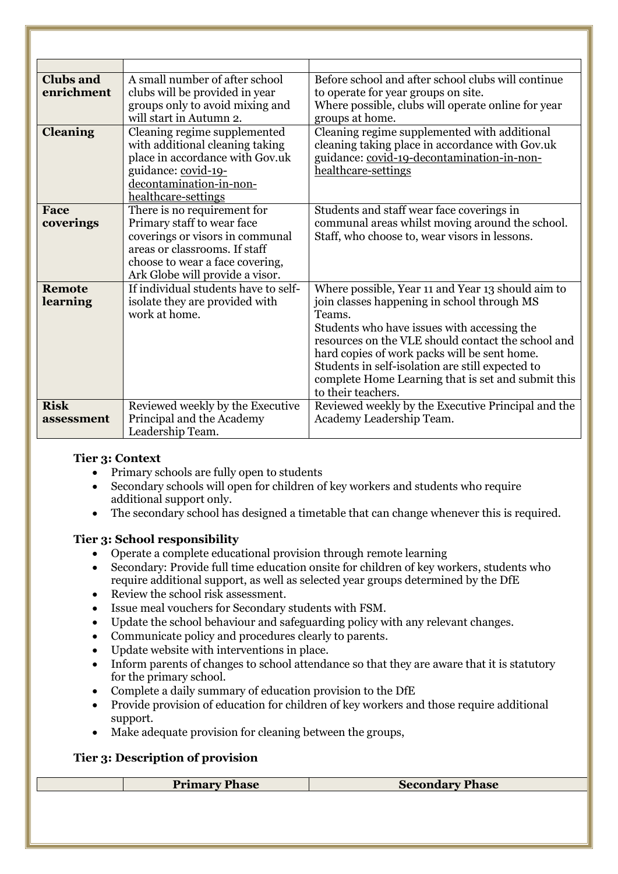| <b>Clubs and</b><br>enrichment | A small number of after school<br>clubs will be provided in year<br>groups only to avoid mixing and<br>will start in Autumn 2.                                                                      | Before school and after school clubs will continue<br>to operate for year groups on site.<br>Where possible, clubs will operate online for year<br>groups at home.                                                                                                                                                                                                                              |
|--------------------------------|-----------------------------------------------------------------------------------------------------------------------------------------------------------------------------------------------------|-------------------------------------------------------------------------------------------------------------------------------------------------------------------------------------------------------------------------------------------------------------------------------------------------------------------------------------------------------------------------------------------------|
| <b>Cleaning</b>                | Cleaning regime supplemented<br>with additional cleaning taking<br>place in accordance with Gov.uk<br>guidance: covid-19-<br>decontamination-in-non-<br>healthcare-settings                         | Cleaning regime supplemented with additional<br>cleaning taking place in accordance with Gov.uk<br>guidance: covid-19-decontamination-in-non-<br>healthcare-settings                                                                                                                                                                                                                            |
| Face<br>coverings              | There is no requirement for<br>Primary staff to wear face<br>coverings or visors in communal<br>areas or classrooms. If staff<br>choose to wear a face covering,<br>Ark Globe will provide a visor. | Students and staff wear face coverings in<br>communal areas whilst moving around the school.<br>Staff, who choose to, wear visors in lessons.                                                                                                                                                                                                                                                   |
| <b>Remote</b><br>learning      | If individual students have to self-<br>isolate they are provided with<br>work at home.                                                                                                             | Where possible, Year 11 and Year 13 should aim to<br>join classes happening in school through MS<br>Teams.<br>Students who have issues with accessing the<br>resources on the VLE should contact the school and<br>hard copies of work packs will be sent home.<br>Students in self-isolation are still expected to<br>complete Home Learning that is set and submit this<br>to their teachers. |
| <b>Risk</b><br>assessment      | Reviewed weekly by the Executive<br>Principal and the Academy<br>Leadership Team.                                                                                                                   | Reviewed weekly by the Executive Principal and the<br>Academy Leadership Team.                                                                                                                                                                                                                                                                                                                  |

#### **Tier 3: Context**

- Primary schools are fully open to students
- Secondary schools will open for children of key workers and students who require additional support only.
- The secondary school has designed a timetable that can change whenever this is required.

## **Tier 3: School responsibility**

- Operate a complete educational provision through remote learning
- Secondary: Provide full time education onsite for children of key workers, students who require additional support, as well as selected year groups determined by the DfE
- Review the school risk assessment.
- Issue meal vouchers for Secondary students with FSM.
- Update the school behaviour and safeguarding policy with any relevant changes.
- Communicate policy and procedures clearly to parents.
- Update website with interventions in place.
- Inform parents of changes to school attendance so that they are aware that it is statutory for the primary school.
- Complete a daily summary of education provision to the DfE
- Provide provision of education for children of key workers and those require additional support.
- Make adequate provision for cleaning between the groups,

# **Tier 3: Description of provision**

**Primary Phase Secondary Phase**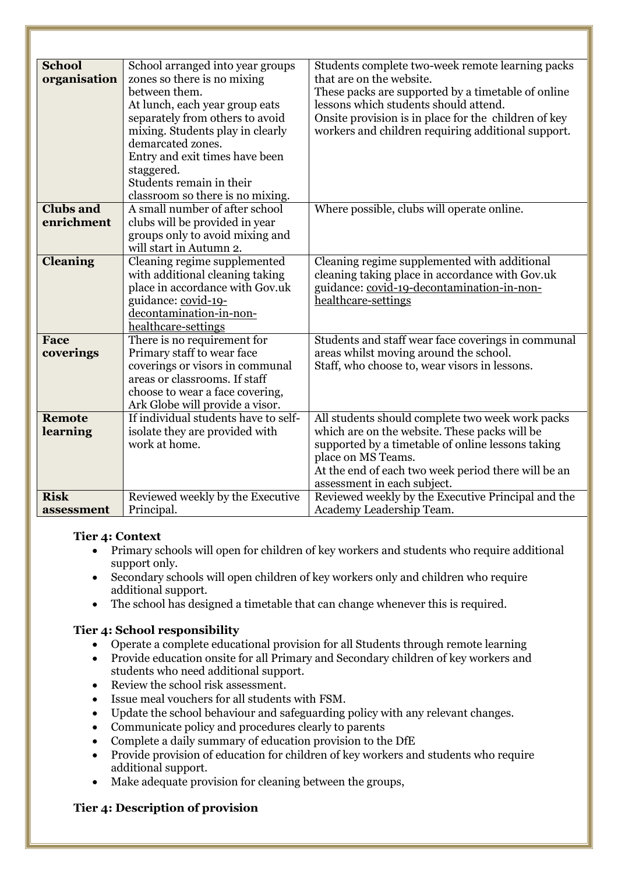| <b>School</b>    | School arranged into year groups     | Students complete two-week remote learning packs     |
|------------------|--------------------------------------|------------------------------------------------------|
| organisation     | zones so there is no mixing          | that are on the website.                             |
|                  | between them.                        | These packs are supported by a timetable of online   |
|                  | At lunch, each year group eats       | lessons which students should attend.                |
|                  | separately from others to avoid      | Onsite provision is in place for the children of key |
|                  | mixing. Students play in clearly     | workers and children requiring additional support.   |
|                  | demarcated zones.                    |                                                      |
|                  | Entry and exit times have been       |                                                      |
|                  | staggered.                           |                                                      |
|                  | Students remain in their             |                                                      |
|                  | classroom so there is no mixing.     |                                                      |
| <b>Clubs and</b> | A small number of after school       | Where possible, clubs will operate online.           |
| enrichment       | clubs will be provided in year       |                                                      |
|                  | groups only to avoid mixing and      |                                                      |
|                  | will start in Autumn 2.              |                                                      |
| <b>Cleaning</b>  | Cleaning regime supplemented         | Cleaning regime supplemented with additional         |
|                  | with additional cleaning taking      | cleaning taking place in accordance with Gov.uk      |
|                  | place in accordance with Gov.uk      | guidance: covid-19-decontamination-in-non-           |
|                  | guidance: covid-19-                  | healthcare-settings                                  |
|                  | decontamination-in-non-              |                                                      |
|                  | healthcare-settings                  |                                                      |
| Face             | There is no requirement for          | Students and staff wear face coverings in communal   |
| coverings        | Primary staff to wear face           | areas whilst moving around the school.               |
|                  | coverings or visors in communal      | Staff, who choose to, wear visors in lessons.        |
|                  | areas or classrooms. If staff        |                                                      |
|                  | choose to wear a face covering,      |                                                      |
|                  | Ark Globe will provide a visor.      |                                                      |
| <b>Remote</b>    | If individual students have to self- | All students should complete two week work packs     |
| learning         | isolate they are provided with       | which are on the website. These packs will be        |
|                  | work at home.                        | supported by a timetable of online lessons taking    |
|                  |                                      | place on MS Teams.                                   |
|                  |                                      | At the end of each two week period there will be an  |
|                  |                                      | assessment in each subject.                          |
| <b>Risk</b>      | Reviewed weekly by the Executive     | Reviewed weekly by the Executive Principal and the   |
| assessment       | Principal.                           | Academy Leadership Team.                             |

## **Tier 4: Context**

- Primary schools will open for children of key workers and students who require additional support only.
- Secondary schools will open children of key workers only and children who require additional support.
- The school has designed a timetable that can change whenever this is required.

# **Tier 4: School responsibility**

- Operate a complete educational provision for all Students through remote learning
- Provide education onsite for all Primary and Secondary children of key workers and students who need additional support.
- Review the school risk assessment.
- Issue meal vouchers for all students with FSM.
- Update the school behaviour and safeguarding policy with any relevant changes.
- Communicate policy and procedures clearly to parents
- Complete a daily summary of education provision to the DfE
- Provide provision of education for children of key workers and students who require additional support.
- Make adequate provision for cleaning between the groups,

## **Tier 4: Description of provision**